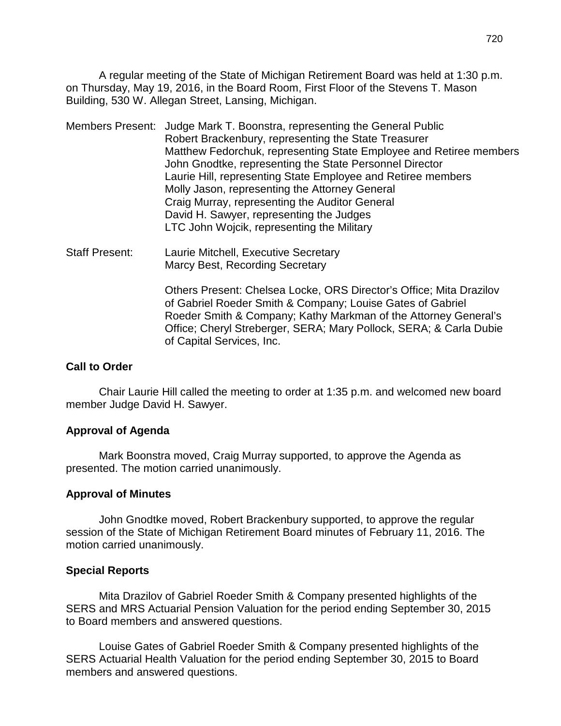A regular meeting of the State of Michigan Retirement Board was held at 1:30 p.m. on Thursday, May 19, 2016, in the Board Room, First Floor of the Stevens T. Mason Building, 530 W. Allegan Street, Lansing, Michigan.

- Members Present: Judge Mark T. Boonstra, representing the General Public Robert Brackenbury, representing the State Treasurer Matthew Fedorchuk, representing State Employee and Retiree members John Gnodtke, representing the State Personnel Director Laurie Hill, representing State Employee and Retiree members Molly Jason, representing the Attorney General Craig Murray, representing the Auditor General David H. Sawyer, representing the Judges LTC John Wojcik, representing the Military
- Staff Present: Laurie Mitchell, Executive Secretary Marcy Best, Recording Secretary

Others Present: Chelsea Locke, ORS Director's Office; Mita Drazilov of Gabriel Roeder Smith & Company; Louise Gates of Gabriel Roeder Smith & Company; Kathy Markman of the Attorney General's Office; Cheryl Streberger, SERA; Mary Pollock, SERA; & Carla Dubie of Capital Services, Inc.

#### **Call to Order**

Chair Laurie Hill called the meeting to order at 1:35 p.m. and welcomed new board member Judge David H. Sawyer.

#### **Approval of Agenda**

Mark Boonstra moved, Craig Murray supported, to approve the Agenda as presented. The motion carried unanimously.

#### **Approval of Minutes**

John Gnodtke moved, Robert Brackenbury supported, to approve the regular session of the State of Michigan Retirement Board minutes of February 11, 2016. The motion carried unanimously.

#### **Special Reports**

Mita Drazilov of Gabriel Roeder Smith & Company presented highlights of the SERS and MRS Actuarial Pension Valuation for the period ending September 30, 2015 to Board members and answered questions.

Louise Gates of Gabriel Roeder Smith & Company presented highlights of the SERS Actuarial Health Valuation for the period ending September 30, 2015 to Board members and answered questions.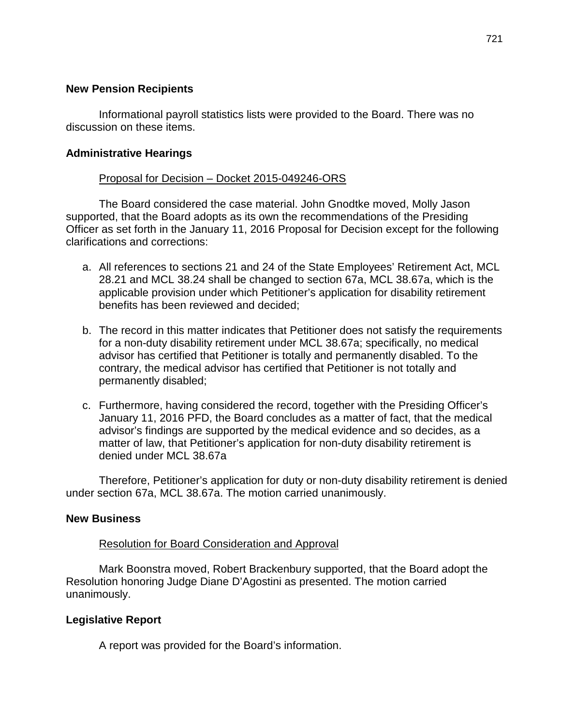### **New Pension Recipients**

Informational payroll statistics lists were provided to the Board. There was no discussion on these items.

# **Administrative Hearings**

# Proposal for Decision – Docket 2015-049246-ORS

The Board considered the case material. John Gnodtke moved, Molly Jason supported, that the Board adopts as its own the recommendations of the Presiding Officer as set forth in the January 11, 2016 Proposal for Decision except for the following clarifications and corrections:

- a. All references to sections 21 and 24 of the State Employees' Retirement Act, MCL 28.21 and MCL 38.24 shall be changed to section 67a, MCL 38.67a, which is the applicable provision under which Petitioner's application for disability retirement benefits has been reviewed and decided;
- b. The record in this matter indicates that Petitioner does not satisfy the requirements for a non-duty disability retirement under MCL 38.67a; specifically, no medical advisor has certified that Petitioner is totally and permanently disabled. To the contrary, the medical advisor has certified that Petitioner is not totally and permanently disabled;
- c. Furthermore, having considered the record, together with the Presiding Officer's January 11, 2016 PFD, the Board concludes as a matter of fact, that the medical advisor's findings are supported by the medical evidence and so decides, as a matter of law, that Petitioner's application for non-duty disability retirement is denied under MCL 38.67a

Therefore, Petitioner's application for duty or non-duty disability retirement is denied under section 67a, MCL 38.67a. The motion carried unanimously.

## **New Business**

## Resolution for Board Consideration and Approval

Mark Boonstra moved, Robert Brackenbury supported, that the Board adopt the Resolution honoring Judge Diane D'Agostini as presented. The motion carried unanimously.

## **Legislative Report**

A report was provided for the Board's information.